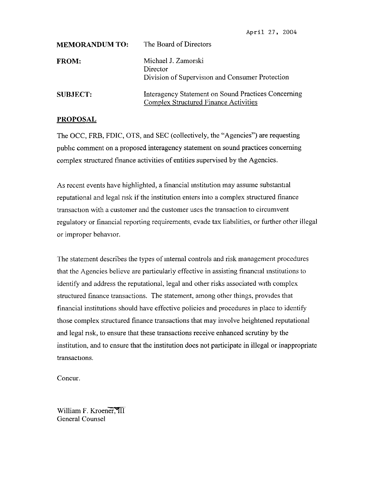| <b>MEMORANDUM TO:</b> | The Board of Directors                                                                              |
|-----------------------|-----------------------------------------------------------------------------------------------------|
| <b>FROM:</b>          | Michael J. Zamorski<br>Director<br>Division of Supervision and Consumer Protection                  |
| <b>SUBJECT:</b>       | Interagency Statement on Sound Practices Concerning<br><b>Complex Structured Finance Activities</b> |

## **PROPOSAL**

The OCC, FRB, FDIC, OTS, and SEC (collectively, the "Agencies") are requesting public comment on a proposed interagency statement on sound practices concerning complex structured finance activities of entities supervised by the Agencies.

As recent events have highlighted, a financial institution may **assume** substantial reputational and legal risk if the institution enters into a complex structured finance transaction with a customer and the customer uses the transaction to circumvent regulatory or financial reporting requirements, evade tax liabilities, or further other illegal or improper behavior.

The statement describes the types of internal controls and risk management procedures that the Agencies believe are particularly effective in assisting financial institutions to identify and address the reputational, legal and other risks associated with complex structured finance transactions. The statement, among other things, provides that financial institutions should have effective policies and procedures in place to identify those complex structured finance transactions that may involve heightened reputational and legal **risk,** to ensure that these transactions receive enhanced scrutiny by the institution, and to ensure that the institution does not participate in illegal or inappropriate transactions.

Concur.

William F. Kroener, III General Counsel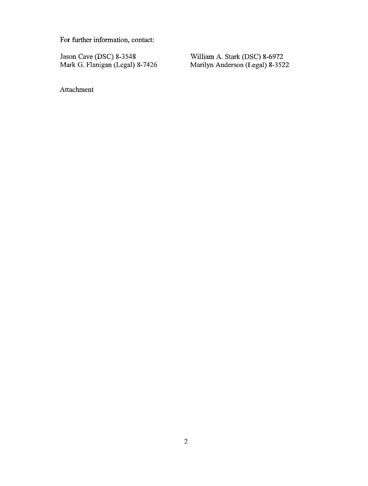For further information, contact:

Jason Cave (DSC) 8-3548<br>Mark G. Flanigan (Legal) 8-7426

William A. Stark (DSC) 8-6972<br>Marilyn Anderson (Legal) 8-3522

Attachment